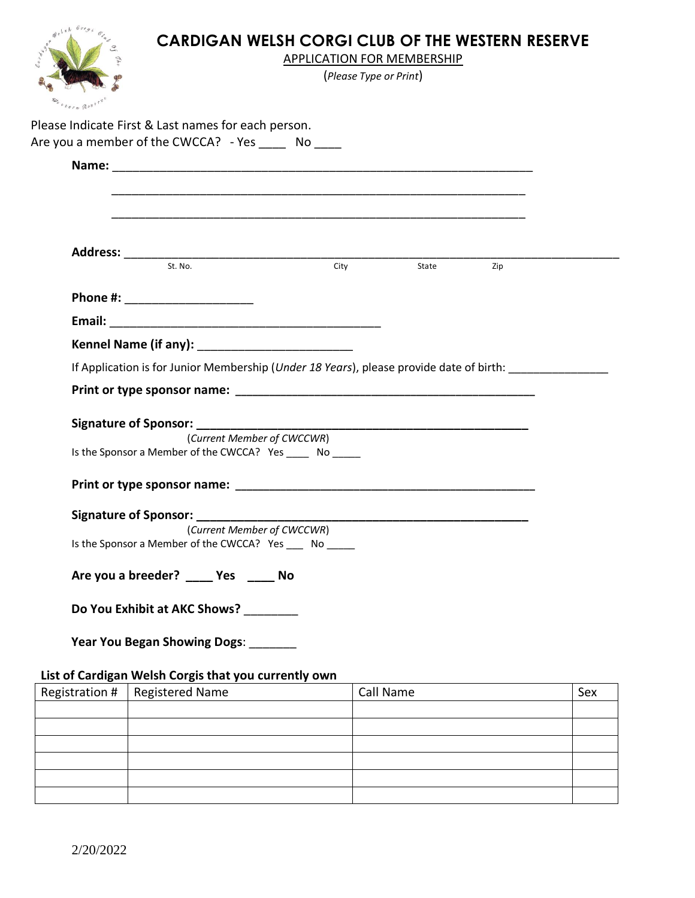

## **CARDIGAN WELSH CORGI CLUB OF THE WESTERN RESERVE**

APPLICATION FOR MEMBERSHIP

(*Please Type or Print*)

|                |                                                                                                  |           | State | Zip |     |
|----------------|--------------------------------------------------------------------------------------------------|-----------|-------|-----|-----|
|                |                                                                                                  |           |       |     |     |
|                | Phone #: _____________________                                                                   |           |       |     |     |
|                |                                                                                                  |           |       |     |     |
|                |                                                                                                  |           |       |     |     |
|                | If Application is for Junior Membership ( <i>Under 18 Years</i> ), please provide date of birth: |           |       |     |     |
|                |                                                                                                  |           |       |     |     |
|                |                                                                                                  |           |       |     |     |
|                | (Current Member of CWCCWR)                                                                       |           |       |     |     |
|                | Is the Sponsor a Member of the CWCCA? Yes ______ No ______                                       |           |       |     |     |
|                |                                                                                                  |           |       |     |     |
|                |                                                                                                  |           |       |     |     |
|                | (Current Member of CWCCWR)                                                                       |           |       |     |     |
|                | Is the Sponsor a Member of the CWCCA? Yes _____ No ______                                        |           |       |     |     |
|                | Are you a breeder? ______ Yes ______ No                                                          |           |       |     |     |
|                |                                                                                                  |           |       |     |     |
|                | Do You Exhibit at AKC Shows? _________                                                           |           |       |     |     |
|                | <b>Year You Began Showing Dogs:</b>                                                              |           |       |     |     |
|                |                                                                                                  |           |       |     |     |
|                | List of Cardigan Welsh Corgis that you currently own                                             |           |       |     |     |
|                |                                                                                                  |           |       |     |     |
| Registration # | <b>Registered Name</b>                                                                           | Call Name |       |     | Sex |
|                |                                                                                                  |           |       |     |     |